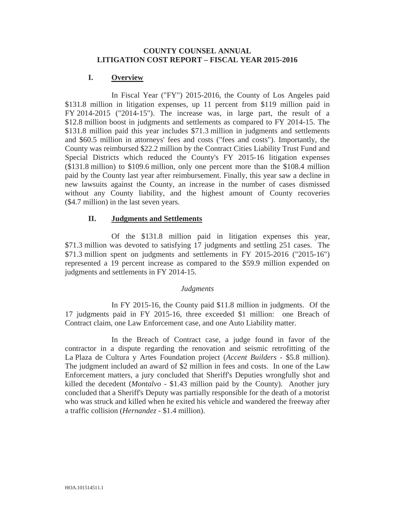### **COUNTY COUNSEL ANNUAL LITIGATION COST REPORT – FISCAL YEAR 2015-2016**

# **I. Overview**

In Fiscal Year ("FY") 2015-2016, the County of Los Angeles paid \$131.8 million in litigation expenses, up 11 percent from \$119 million paid in FY 2014-2015 ("2014-15"). The increase was, in large part, the result of a \$12.8 million boost in judgments and settlements as compared to FY 2014-15. The \$131.8 million paid this year includes \$71.3 million in judgments and settlements and \$60.5 million in attorneys' fees and costs ("fees and costs"). Importantly, the County was reimbursed \$22.2 million by the Contract Cities Liability Trust Fund and Special Districts which reduced the County's FY 2015-16 litigation expenses (\$131.8 million) to \$109.6 million, only one percent more than the \$108.4 million paid by the County last year after reimbursement. Finally, this year saw a decline in new lawsuits against the County, an increase in the number of cases dismissed without any County liability, and the highest amount of County recoveries (\$4.7 million) in the last seven years.

### **II. Judgments and Settlements**

Of the \$131.8 million paid in litigation expenses this year, \$71.3 million was devoted to satisfying 17 judgments and settling 251 cases. The \$71.3 million spent on judgments and settlements in FY 2015-2016 ("2015-16") represented a 19 percent increase as compared to the \$59.9 million expended on judgments and settlements in FY 2014-15.

### *Judgments*

In FY 2015-16, the County paid \$11.8 million in judgments. Of the 17 judgments paid in FY 2015-16, three exceeded \$1 million: one Breach of Contract claim, one Law Enforcement case, and one Auto Liability matter.

In the Breach of Contract case, a judge found in favor of the contractor in a dispute regarding the renovation and seismic retrofitting of the La Plaza de Cultura y Artes Foundation project (*Accent Builders* - \$5.8 million). The judgment included an award of \$2 million in fees and costs. In one of the Law Enforcement matters, a jury concluded that Sheriff's Deputies wrongfully shot and killed the decedent (*Montalvo* - \$1.43 million paid by the County). Another jury concluded that a Sheriff's Deputy was partially responsible for the death of a motorist who was struck and killed when he exited his vehicle and wandered the freeway after a traffic collision (*Hernandez* - \$1.4 million).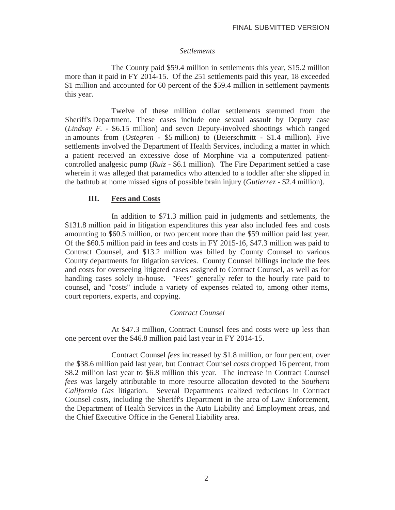# *Settlements*

The County paid \$59.4 million in settlements this year, \$15.2 million more than it paid in FY 2014-15. Of the 251 settlements paid this year, 18 exceeded \$1 million and accounted for 60 percent of the \$59.4 million in settlement payments this year.

Twelve of these million dollar settlements stemmed from the Sheriff's Department. These cases include one sexual assault by Deputy case (*Lindsay F. -* \$6.15 million) and seven Deputy-involved shootings which ranged in amounts from (*Ostegren* - \$5 million) to (Beierschmitt - \$1.4 million). Five settlements involved the Department of Health Services, including a matter in which a patient received an excessive dose of Morphine via a computerized patientcontrolled analgesic pump (*Ruiz* - \$6.1 million). The Fire Department settled a case wherein it was alleged that paramedics who attended to a toddler after she slipped in the bathtub at home missed signs of possible brain injury (*Gutierrez* - \$2.4 million).

# **III. Fees and Costs**

In addition to \$71.3 million paid in judgments and settlements, the \$131.8 million paid in litigation expenditures this year also included fees and costs amounting to \$60.5 million, or two percent more than the \$59 million paid last year. Of the \$60.5 million paid in fees and costs in FY 2015-16, \$47.3 million was paid to Contract Counsel, and \$13.2 million was billed by County Counsel to various County departments for litigation services. County Counsel billings include the fees and costs for overseeing litigated cases assigned to Contract Counsel, as well as for handling cases solely in-house. "Fees" generally refer to the hourly rate paid to counsel, and "costs" include a variety of expenses related to, among other items, court reporters, experts, and copying.

### *Contract Counsel*

At \$47.3 million, Contract Counsel fees and costs were up less than one percent over the \$46.8 million paid last year in FY 2014-15.

Contract Counsel *fees* increased by \$1.8 million, or four percent, over the \$38.6 million paid last year, but Contract Counsel *costs* dropped 16 percent, from \$8.2 million last year to \$6.8 million this year. The increase in Contract Counsel *fees* was largely attributable to more resource allocation devoted to the *Southern California Gas* litigation. Several Departments realized reductions in Contract Counsel *costs*, including the Sheriff's Department in the area of Law Enforcement, the Department of Health Services in the Auto Liability and Employment areas, and the Chief Executive Office in the General Liability area.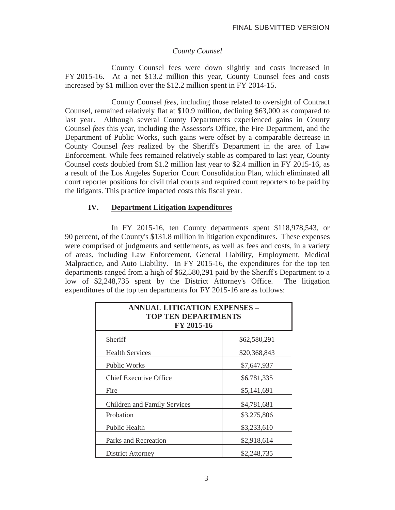# *County Counsel*

County Counsel fees were down slightly and costs increased in FY 2015-16. At a net \$13.2 million this year, County Counsel fees and costs increased by \$1 million over the \$12.2 million spent in FY 2014-15.

County Counsel *fees*, including those related to oversight of Contract Counsel, remained relatively flat at \$10.9 million, declining \$63,000 as compared to last year. Although several County Departments experienced gains in County Counsel *fees* this year, including the Assessor's Office, the Fire Department, and the Department of Public Works, such gains were offset by a comparable decrease in County Counsel *fees* realized by the Sheriff's Department in the area of Law Enforcement. While fees remained relatively stable as compared to last year, County Counsel *costs* doubled from \$1.2 million last year to \$2.4 million in FY 2015-16, as a result of the Los Angeles Superior Court Consolidation Plan, which eliminated all court reporter positions for civil trial courts and required court reporters to be paid by the litigants. This practice impacted costs this fiscal year.

### **IV. Department Litigation Expenditures**

In FY 2015-16, ten County departments spent \$118,978,543, or 90 percent, of the County's \$131.8 million in litigation expenditures. These expenses were comprised of judgments and settlements, as well as fees and costs, in a variety of areas, including Law Enforcement, General Liability, Employment, Medical Malpractice, and Auto Liability. In FY 2015-16, the expenditures for the top ten departments ranged from a high of \$62,580,291 paid by the Sheriff's Department to a low of \$2,248,735 spent by the District Attorney's Office. The litigation expenditures of the top ten departments for FY 2015-16 are as follows:

| <b>ANNUAL LITIGATION EXPENSES -</b><br><b>TOP TEN DEPARTMENTS</b><br>FY 2015-16 |              |
|---------------------------------------------------------------------------------|--------------|
| Sheriff                                                                         | \$62,580,291 |
| <b>Health Services</b>                                                          | \$20,368,843 |
| Public Works                                                                    | \$7,647,937  |
| <b>Chief Executive Office</b>                                                   | \$6,781,335  |
| Fire                                                                            | \$5,141,691  |
| <b>Children and Family Services</b>                                             | \$4,781,681  |
| Probation                                                                       | \$3,275,806  |
| Public Health                                                                   | \$3,233,610  |
| Parks and Recreation                                                            | \$2,918,614  |
| <b>District Attorney</b>                                                        | \$2,248,735  |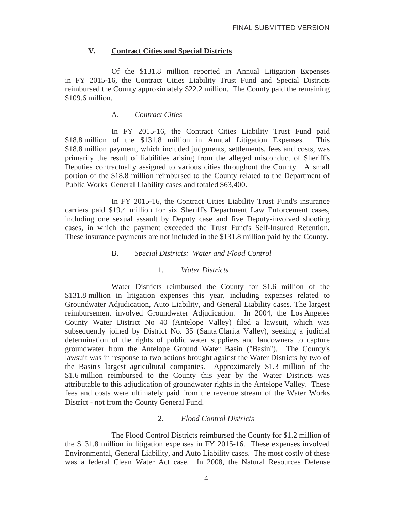# **V. Contract Cities and Special Districts**

Of the \$131.8 million reported in Annual Litigation Expenses in FY 2015-16, the Contract Cities Liability Trust Fund and Special Districts reimbursed the County approximately \$22.2 million. The County paid the remaining \$109.6 million.

# A. *Contract Cities*

In FY 2015-16, the Contract Cities Liability Trust Fund paid \$18.8 million of the \$131.8 million in Annual Litigation Expenses. This \$18.8 million payment, which included judgments, settlements, fees and costs, was primarily the result of liabilities arising from the alleged misconduct of Sheriff's Deputies contractually assigned to various cities throughout the County. A small portion of the \$18.8 million reimbursed to the County related to the Department of Public Works' General Liability cases and totaled \$63,400.

In FY 2015-16, the Contract Cities Liability Trust Fund's insurance carriers paid \$19.4 million for six Sheriff's Department Law Enforcement cases, including one sexual assault by Deputy case and five Deputy-involved shooting cases, in which the payment exceeded the Trust Fund's Self-Insured Retention. These insurance payments are not included in the \$131.8 million paid by the County.

# B. *Special Districts: Water and Flood Control*

# 1. *Water Districts*

Water Districts reimbursed the County for \$1.6 million of the \$131.8 million in litigation expenses this year, including expenses related to Groundwater Adjudication, Auto Liability, and General Liability cases. The largest reimbursement involved Groundwater Adjudication. In 2004, the Los Angeles County Water District No 40 (Antelope Valley) filed a lawsuit, which was subsequently joined by District No. 35 (Santa Clarita Valley), seeking a judicial determination of the rights of public water suppliers and landowners to capture groundwater from the Antelope Ground Water Basin ("Basin"). The County's lawsuit was in response to two actions brought against the Water Districts by two of the Basin's largest agricultural companies. Approximately \$1.3 million of the \$1.6 million reimbursed to the County this year by the Water Districts was attributable to this adjudication of groundwater rights in the Antelope Valley. These fees and costs were ultimately paid from the revenue stream of the Water Works District - not from the County General Fund.

# 2. *Flood Control Districts*

The Flood Control Districts reimbursed the County for \$1.2 million of the \$131.8 million in litigation expenses in FY 2015-16. These expenses involved Environmental, General Liability, and Auto Liability cases. The most costly of these was a federal Clean Water Act case. In 2008, the Natural Resources Defense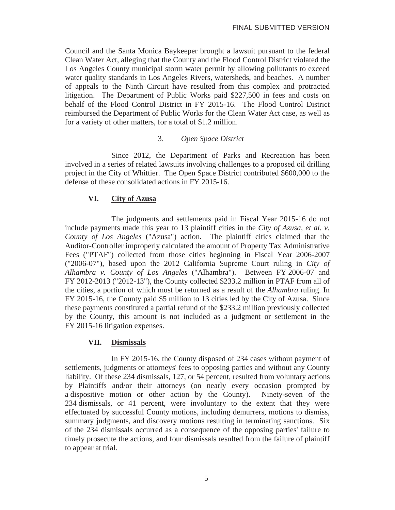Council and the Santa Monica Baykeeper brought a lawsuit pursuant to the federal Clean Water Act, alleging that the County and the Flood Control District violated the Los Angeles County municipal storm water permit by allowing pollutants to exceed water quality standards in Los Angeles Rivers, watersheds, and beaches. A number of appeals to the Ninth Circuit have resulted from this complex and protracted litigation. The Department of Public Works paid \$227,500 in fees and costs on behalf of the Flood Control District in FY 2015-16. The Flood Control District reimbursed the Department of Public Works for the Clean Water Act case, as well as for a variety of other matters, for a total of \$1.2 million.

# 3. *Open Space District*

Since 2012, the Department of Parks and Recreation has been involved in a series of related lawsuits involving challenges to a proposed oil drilling project in the City of Whittier. The Open Space District contributed \$600,000 to the defense of these consolidated actions in FY 2015-16.

# **VI. City of Azusa**

The judgments and settlements paid in Fiscal Year 2015-16 do not include payments made this year to 13 plaintiff cities in the *City of Azusa, et al. v. County of Los Angeles* ("Azusa") action. The plaintiff cities claimed that the Auditor-Controller improperly calculated the amount of Property Tax Administrative Fees ("PTAF") collected from those cities beginning in Fiscal Year 2006-2007 ("2006-07"), based upon the 2012 California Supreme Court ruling in *City of Alhambra v. County of Los Angeles* ("Alhambra"). Between FY 2006-07 and FY 2012-2013 ("2012-13"), the County collected \$233.2 million in PTAF from all of the cities, a portion of which must be returned as a result of the *Alhambra* ruling. In FY 2015-16, the County paid \$5 million to 13 cities led by the City of Azusa. Since these payments constituted a partial refund of the \$233.2 million previously collected by the County, this amount is not included as a judgment or settlement in the FY 2015-16 litigation expenses.

### **VII. Dismissals**

In FY 2015-16, the County disposed of 234 cases without payment of settlements, judgments or attorneys' fees to opposing parties and without any County liability. Of these 234 dismissals, 127, or 54 percent, resulted from voluntary actions by Plaintiffs and/or their attorneys (on nearly every occasion prompted by a dispositive motion or other action by the County). Ninety-seven of the 234 dismissals, or 41 percent, were involuntary to the extent that they were effectuated by successful County motions, including demurrers, motions to dismiss, summary judgments, and discovery motions resulting in terminating sanctions. Six of the 234 dismissals occurred as a consequence of the opposing parties' failure to timely prosecute the actions, and four dismissals resulted from the failure of plaintiff to appear at trial.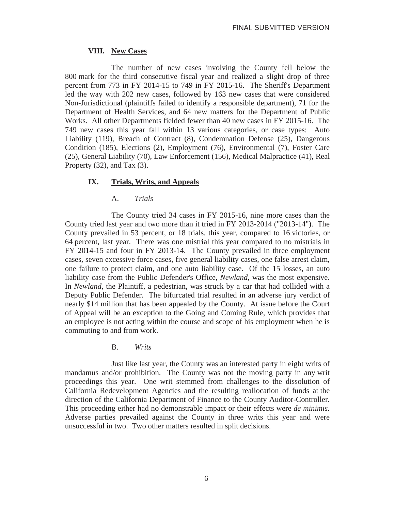### **VIII. New Cases**

The number of new cases involving the County fell below the 800 mark for the third consecutive fiscal year and realized a slight drop of three percent from 773 in FY 2014-15 to 749 in FY 2015-16. The Sheriff's Department led the way with 202 new cases, followed by 163 new cases that were considered Non-Jurisdictional (plaintiffs failed to identify a responsible department), 71 for the Department of Health Services, and 64 new matters for the Department of Public Works. All other Departments fielded fewer than 40 new cases in FY 2015-16. The 749 new cases this year fall within 13 various categories, or case types: Auto Liability (119), Breach of Contract (8), Condemnation Defense (25), Dangerous Condition (185), Elections (2), Employment (76), Environmental (7), Foster Care (25), General Liability (70), Law Enforcement (156), Medical Malpractice (41), Real Property (32), and Tax (3).

### **IX. Trials, Writs, and Appeals**

### A. *Trials*

The County tried 34 cases in FY 2015-16, nine more cases than the County tried last year and two more than it tried in FY 2013-2014 ("2013-14"). The County prevailed in 53 percent, or 18 trials, this year, compared to 16 victories, or 64 percent, last year. There was one mistrial this year compared to no mistrials in FY 2014-15 and four in FY 2013-14. The County prevailed in three employment cases, seven excessive force cases, five general liability cases, one false arrest claim, one failure to protect claim, and one auto liability case. Of the 15 losses, an auto liability case from the Public Defender's Office, *Newland*, was the most expensive. In *Newland*, the Plaintiff, a pedestrian, was struck by a car that had collided with a Deputy Public Defender. The bifurcated trial resulted in an adverse jury verdict of nearly \$14 million that has been appealed by the County. At issue before the Court of Appeal will be an exception to the Going and Coming Rule, which provides that an employee is not acting within the course and scope of his employment when he is commuting to and from work.

B. *Writs*

Just like last year, the County was an interested party in eight writs of mandamus and/or prohibition. The County was not the moving party in any writ proceedings this year. One writ stemmed from challenges to the dissolution of California Redevelopment Agencies and the resulting reallocation of funds at the direction of the California Department of Finance to the County Auditor-Controller. This proceeding either had no demonstrable impact or their effects were *de minimis*. Adverse parties prevailed against the County in three writs this year and were unsuccessful in two. Two other matters resulted in split decisions.